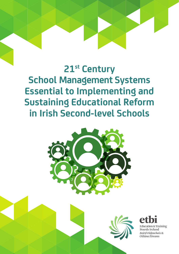# **21st Century School Management Systems Essential to Implementing and Sustaining Educational Reform in Irish Second-level Schools**







Roird Oideachais & Oiliúna Éireann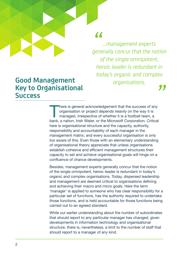*...management experts generally concur that the notion " of the single omnipotent, heroic leader is redundant in today's organic and complex organisations.*

### **Good Management Key to Organisational Success**

There is general acknowledgement that the success of any organisation or project depends heavily on the way it is managed, irrespective of whether it is a football team, a bank, a nation, Irish Water, or the Microsoft Corp organisation or project depends heavily on the way it is managed, irrespective of whether it is a football team, a here is organisational structure and the capacity, authority, responsibility and accountability of each manager in the management matrix; and every successful organisation is only too aware of this. Even those with an elementary understanding of organisational theory appreciate that unless organisations establish cohesive and efficient management structures their capacity to set and achieve organisational goals will hinge on a confluence of chance developments. **Sational**<br>There is general acknowledgement that the success of any

Besides, management experts generally concur that the notion of the single omnipotent, heroic leader is redundant in today's organic and complex organisations. Today, dispersed leadership and management are deemed critical to organisations defining and achieving their macro and micro goals. Here the term 'manager' is applied to someone who has clear responsibility for a particular set of functions, has the authority required to undertake those functions, and is held accountable for those functions being carried out to an agreed standard.

While our earlier understanding about the number of subordinates that should report to any particular manager has changed, given developments in information technology and organisational structure, there is, nevertheless, a limit to the number of staff that should report to a manager of any kind.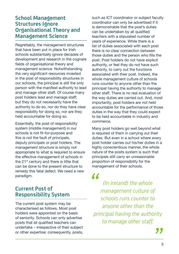### **School Management Structures Ignore Organisational Theory and Management Science**

Regrettably, the management structures that have been put in place for Irish schools substantially ignore decades of development and research in the cognate fields of organisational theory and management science. Notwithstanding the very significant resources invested in the post of responsibility structures in our schools, the principal is still the only person with the manifest authority to lead and manage other staff. Of course many post holders lead and manage staff; but they do not necessarily have the authority to do so, nor do they have clear responsibility for doing so, nor are they held accountable for doing so.

Essentially, the post of responsibility system (middle management) in our schools is not fit-for-purpose and this is not the fault of principals, deputy principals or post holders. The management structure is simply not appropriate to what is required to ensure the effective management of schools in the 21<sup>st</sup> century and there is little that can be done to the present structure to remedy this fatal defect. We need a new paradigm.

### **Current Post of Responsibility System**

The current post system may be characterised as follows. Most post holders were appointed on the basis of seniority. Schools can only advertise posts that all qualified teachers can undertake – irrespective of their subject or other expertise; consequently, posts,

such as ICT coordinator or subject faculty coordinator can only be advertised if it is demonstrable that the post's duties can be undertaken by all qualified teachers with a stipulated number of years of experience. While there is a list of duties associated with each post there is no clear connection between those duties and the person who fills the post. Post holders do not have explicit authority, or feel they do not have such authority, to carry out the functions associated with their post. Indeed, the whole management culture of schools runs counter to anyone other than the principal having the authority to manage other staff. There is no real evaluation of the way duties are carried out. And, most importantly, post holders are not held accountable for the performance of those duties in the way that they could expect to be held accountable in industry and commerce.

Many post holders go well beyond what is required of them in carrying out their duties. But even in a school where every post holder carries out his/her duties in a highly conscientious manner, the whole nature of the posts system is such that principals still carry an unreasonable proportion of responsibility for the management of their schools.

*(In Ireland) the whole management culture of schools runs counter to anyone other than the principal having the authority to manage other staff. "*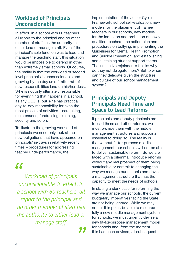### **Workload of Principals Unconscionable**

In effect, in a school with 60 teachers, all report to the principal and no other member of staff has the authority to either lead or manage staff. Even if the principal's sole function was to lead and manage the teaching staff, this situation would be impossible to defend in other than extremely small schools. Of course, the reality is that the workload of second level principals is unconscionable and growing by the day as raft after raft of new responsibilities land on his/her desk. S/he is not only ultimately responsible for everything that happens in a school, as any CEO is, but s/he has practical day-to-day responsibility for even the most prosaic of activities – caretaking, maintenance, fundraising, cleaning, security and so on.

To illustrate the growing workload of principals we need only look at the new obligations that have appeared on principals' in-trays in relatively recent times – procedures for addressing teacher underperformance, the

## *"*

*Workload of principals unconscionable. In effect, in a school with 60 teachers, all report to the principal and no other member of staff has the authority to either lead or manage staff.*

*"* 

implementation of the Junior Cycle Framework, school self-evaluation, new models for the placement of trainee teachers in our schools, new models for the induction and probation of newly qualified teachers, the action plan and procedures on bullying, implementing the Guidelines for Mental Health Promotion and Suicide Prevention, and establishing and sustaining student support teams. The instinctive rejoinder to this is: why do they not delegate more? But to whom can they delegate given the structure and culture of our school management system?

### **Principals and Deputy Principals Need Time and Space to Lead Reforms**

If principals and deputy principals are to lead these and other reforms, we must provide them with the middle management structures and supports essential to doing so. The reality is that without fit-for-purpose middle management, our schools will not be able to deliver sustainable reform. So we are faced with a dilemma: introduce reforms without any real prospect of them being sustainable or commit to changing the way we manage our schools and devise a management structure that has the capacity to meet the needs of schools.

In stating a stark case for reforming the way we manage our schools, the current budgetary imperatives facing the State are not being ignored. While we may not, at this point, be able to resource fully a new middle management system for schools, we must urgently devise a new fit-for-purpose management model for schools and, from the moment this has been devised, all subsequent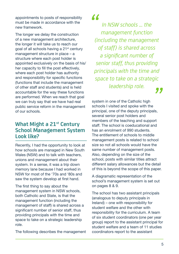appointments to posts of responsibility must be made in accordance with the new framework.

The longer we delay the construction of a new management architecture, the longer it will take us to reach our goal of all schools having a 21<sup>st</sup> century management structure in place – a structure where each post holder is appointed exclusively on the basis of his/ her capacity to fill the post effectively, where each post holder has authority and responsibility for specific functions (functions that include the management of other staff and students) and is held accountable for the way these functions are performed. When we reach that goal we can truly say that we have had real public service reform in the management of our schools.

### **What Might a 21st Century School Management System Look like?**

Recently, I had the opportunity to look at how schools are managed in New South Wales (NSW) and to talk with teachers, unions and management about their system. In a sense, it was a trip down memory lane because I had worked in NSW for most of the '70s and '80s and saw the system develop at first hand.

The first thing to say about the management system in NSW schools, both Catholic and State, is that the management function (including the management of staff) is shared across a significant number of senior staff, thus providing principals with the time and space to take on a strategic leadership role.

The following describes the management

### *"*

*In NSW schools ... the management function (including the management of staff) is shared across a significant number of senior staff, thus providing principals with the time and space to take on a strategic leadership role. "* 

system in one of the Catholic high schools I visited and spoke with the principal, one of the deputy principals, several senior post holders and members of the teaching and support staff. The school is coeducational and has an enrolment of 990 students. The entitlement of schools to middle management posts is related to school size so not all schools would have the same number of management posts. Also, depending on the size of the school, posts with similar titles attract different salary allowances but the detail of this is beyond the scope of this paper.

A diagramatic representation of the school's management system is set out on pages 8 & 9.

The school has two assistant principals (analogous to deputy principals in Ireland) – one with responsibility for student welfare and the other with responsibility for the curriculum. A team of six student coordinators (one per year group) report to the assistant principal for student welfare and a team of 11 studies coordinators report to the assistant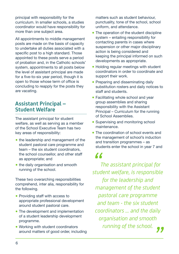principal with responsibility for the curriculum. In smaller schools, a studies coordinator would have responsibility for more than one subject area.

All appointments to middle management posts are made on the basis of capacity to undertake all duties associated with a specific post to a high standard. Those appointed to these posts serve a period of probation and, in the Catholic schools' system, appointments to all posts below the level of assistant principal are made for a five-to-six year period, though it is open to those whose term of office is concluding to reapply for the posts they are vacating.

### **Assistant Principal – Student Welfare**

The assistant principal for student welfare, as well as serving as a member of the School Executive Team has two key areas of responsibility:

- the leadership and management of the student pastoral care programme and team – the six student coordinators the school counsellor, and other staff as appropriate; and
- the daily organisation and smooth running of the school.

These two overarching responsibilities comprehend, inter alia, responsibility for the following.

- Providing staff with access to appropriate professional development around student pastoral care.
- The development and implementation of a student leadership development programme.
- Working with student coordinators around matters of good order, including

matters such as student behaviour, punctuality, tone of the school, school uniform, and attendance.

- The operation of the student discipline system – entailing responsibility for contacting parents in cases where suspension or other major disciplinary action is being considered and keeping the principal informed on such developments as appropriate.
- Holding regular meetings with student coordinators in order to coordinate and support their work.
- Preparing and disseminating daily substitution rosters and daily notices to staff and students.
- Facilitating whole school and year group assemblies and sharing responsibility with the Assistant Principal – Curriculum for the running of School Assemblies.
- Supervising and monitoring school maintenance.
- The coordination of school events and the management of school's induction and transition programmes – as students enter the school in year 7 and

 *The assistant principal for stant principal for*<br> *The assistant principal for*<br> *student welfare, is responsible for the leadership and management of the student pastoral care programme and team - the six student coordinators ... and the daily organisation and smooth running of the school. "*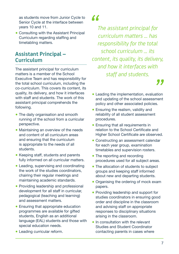as students move from Junior Cycle to Senior Cycle at the interface between years 10 and 11.

● Consulting with the Assistant Principal Curriculum regarding staffing and timetabling matters.

### **Assistant Principal – Curriculum**

The assistant principal for curriculum matters is a member of the School Executive Team and has responsibility for the total school curriculum, including the co-curriculum. This covers its content, its quality, its delivery, and how it interfaces with staff and students. The work of this assistant principal comprehends the following.

- The daily organisation and smooth running of the school from a curricular perspective.
- Maintaining an overview of the needs and content of all curriculum areas and ensuring that the curriculum is appropriate to the needs of all students.
- Keeping staff, students and parents fully informed on all curricular matters.
- Leading, supervising and coordinating the work of the studies coordinators, chairing their regular meetings and maintaining academic standards.
- Providing leadership and professional development for all staff in curricular, pedagogical (teaching and learning) and assessment matters.
- Ensuring that appropriate education programmes are available for gifted students, English as an additional language (EAL) students and those with special education needs.
- Leading curricular reform.

### *"*

*The assistant principal for curriculum matters ... has responsibility for the total school curriculum ... its content, its quality, its delivery, and how it interfaces with staff and students.*

- Leading the implementation, evaluation and updating of the school assessment policy and other associated policies. **99**<br>ation<br>ment
- Ensuring the realism, validity and reliability of all student assessment procedures.
- Ensuring that all requirements in relation to the School Certificate and Higher School Certificate are observed.
- Constructing an assessment calendar for each year group, examination timetables and supervision rosters.
- The reporting and recording procedures used for all subject areas.
- The allocation of students to subject groups and keeping staff informed about new and departing students.
- Organising the ordering of mock exam papers.
- Providing leadership and support for studies coordinators in ensuring good order and discipline in the classroom and advising staff on appropriate responses to disciplinary situations arising in the classroom.
- In consultation with the relevant Studies and Student Coordinator contacting parents in cases where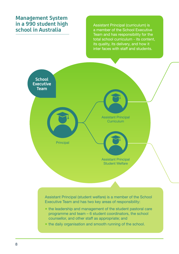### **Management System in a 990 student high school in Australia**

Assistant Principal (curriculum) is a member of the School Executive Team and has responsibility for the total school curriculum - its content, its quality, its delivery, and how it inter faces with staff and students.



Assistant Principal (student welfare) is a member of the School Executive Team and has two key areas of responsibility:

- the leadership and management of the student pastoral care programme and team – 6 student coordinators, the school counsellor, and other staff as appropriate; and
- the daily organisation and smooth running of the school.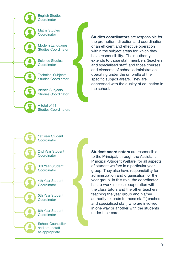English Studies **Coordinator** 

Maths Studies **Coordinator** 

Modern Languages Studies Coordinator

Science Studies **Coordinator** 

Technical Subjects Studies Coordinator

Artistic Subjects Studies Coordinator

A total of 11 Studies Coordinators **Studies coordinators** are responsible for the promotion, direction and coordination of an efficient and effective operation within the subject areas for which they have responsibility. Their authority extends to those staff members (teachers and specialised staff) and those courses and elements of school administration operating under the umbrella of their specific subject area/s. They are concerned with the quality of education in the school.

1st Year Student Coordinator

2nd Year Student **Coordinator** 

3rd Year Student **Coordinator** 

4th Year Student **Coordinator** 

5th Year Student **Coordinator** 

6th Year Student **Coordinator** 

School Counsellor and other staff as appropriate

**Student coordinators** are responsible to the Principal, through the Assistant Principal (Student Welfare) for all aspects of student welfare in a particular year group. They also have responsibility for administration and organisation for the year group. In this role, the coordinator has to work in close cooperation with the class tutors and the other teachers teaching the year group and his/her authority extends to those staff (teachers and specialised staff) who are involved in one way or another with the students under their care.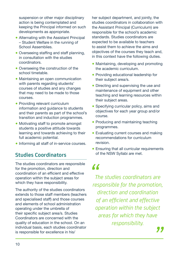suspension or other major disciplinary action is being contemplated and keeping the Principal informed on such developments as appropriate.

- Alternating with the Assistant Principal – Student Welfare in the running of School Assemblies.
- Overseeing staffing and staff planning, in consultation with the studies coordinators.
- Overseeing the construction of the school timetable.
- Maintaining an open communication with parents regarding students' courses of studies and any changes that may need to be made to those courses.
- Providing relevant curriculum information and guidance to students and their parents as part of the school's transition and induction programmes.
- Motivating staff to promote amongst students a positive attitude towards learning and towards achieving to their full academic potential.
- Informing all staff of in-service courses.

### **Studies Coordinators**

The studies coordinators are responsible for the promotion, direction and coordination of an efficient and effective operation within the subject areas for which they have responsibility.

The authority of the studies coordinators extends to those staff members (teachers and specialised staff) and those courses and elements of school administration operating under the umbrella of their specific subject area/s. Studies Coordinators are concerned with the quality of education in the school. On an individual basis, each studies coordinator is responsible for excellence in his/

her subject department, and jointly, the studies coordinators in collaboration with the Assistant Principal (Curriculum) are responsible for the school's academic standards. Studies coordinators are expected to be available to teachers to assist them to achieve the aims and objectives of the courses they teach and, in this context have the following duties.

- Maintaining, developing and promoting the academic curriculum.
- Providing educational leadership for their subject area/s.
- Directing and supervising the use and maintenance of equipment and other teaching and learning resources within their subject areas.
- Specifying curricular policy, aims and objectives for each year group and/or course.
- Producing and maintaining teaching programmes.
- Evaluating current courses and making recommendations for curriculum revision.
- Ensuring that all curricular requirements of the NSW Syllabi are met.

# *"*

*The studies coordinators are responsible for the promotion, direction and coordination of an efficient and effective operation within the subject areas for which they have responsibility.*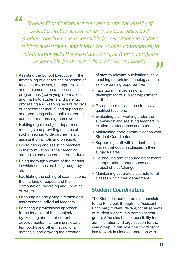*"*

*Studies Coordinators are concerned with the quality of education in the school. On an individual basis, each studies coordinator is responsible for excellence in his/her subject department, and jointly, the studies coordinators, in collaboration with the Assistant Principal (Curriculum), are responsible for the school's academic standards.*

- Assisting the School Executive in: the timetabling of classes, the allocation of teachers to classes, the organisation and implementation of assessment programmes (conveying information and marks to students and parents; processing and keeping secure records of assessment marks) and supporting and promoting school policies around curricular matters, e.g. homework.
- Holding regular subject department meetings and providing minutes of such meetings to department staff. assistant principals and principal.
- Coordinating and assisting teachers in the formulation of their teaching strategies and assessment procedures.
- Being thoroughly aware of the manner in which courses are being taught by staff.
- Facilitating the setting of examinations, the marking of papers and the computation, recording and updating of results.
- Encouraging and giving direction and assistance to individual teachers.
- Fostering a professional approach to the teaching of their subject/s by: keeping abreast of current developments, maintaining relevant text books and other instructional materials, and drawing the attention

of staff to relevant publications, new teaching materials/technology and inservice training opportunities. **99**<br><sup>ew</sup><br>d in-

- Facilitating the professional development of subject department staff.
- Giving special assistance to newlv qualified teachers.
- Evaluating staff working under their supervision and assisting teachers in relation to attendance and punctuality.
- Maintaining good communication with Student Coordinators.
- Supporting staff with student discipline issues that occur in classes in their subject/s area.
- Counselling and encouraging students as appropriate about course and subject choice/change.
- Maintaining accurate class lists for all classes within their department.

### **Student Coordinators**

The Student Coordinator is responsible to the Principal, through the Assistant Principal (Student Welfare) for all aspects of student welfare in a particular year group. S/he also has responsibility for administration and organisation for the year group. In this role, the coordinator has to work in close cooperation with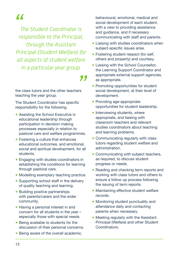# *"*

*The Student Coordinator is responsible to the Principal, through the Assistant Principal (Student Welfare) for all aspects of student welfare in a particular year group.* 

*"* 

the class tutors and the other teachers teaching the year group.

The Student Coordinator has specific responsibility for the following.

- Assisting the School Executive in educational leadership through participation in decision making processes especially in relation to pastoral care and welfare programmes.
- Fostering a culture that enhances educational outcomes, and emotional, social and spiritual development, for all students.
- Engaging with studies coordinators in establishing the conditions for learning through pastoral care.
- Modelling exemplary teaching practice.
- Supporting school staff in the delivery of quality teaching and learning.
- Building positive partnerships with parents/carers and the wider community.
- Having a personal interest in and concern for all students in the year – especially those with special needs.
- Being available to students for the discussion of their personal concerns.
- Being aware of the overall academic.

behavioural, emotional, medical and social development of each student, with a view to providing assistance and guidance, and if necessary communicating with staff and parents.

- Liaising with studies coordinators when subject-specific issues arise.
- Fostering student respect (for self, others and property) and courtesy.
- Liaising with the School Counsellor. the Learning Support Coordinator and appropriate external support agencies, as appropriate.
- Promoting opportunities for student social development, at their level of development.
- Providing age-appropriate opportunities for student leadership.
- Interviewing students, where appropriate, and liaising with classroom teachers and relevant studies coordinators about teaching and learning problems.
- Communicating regularly with class tutors regarding student welfare and administration.
- Communicating with subject teachers, as required, to discuss student progress or needs.
- Reading and checking term reports and working with class tutors and others to ensure a follow up process following the issuing of term reports.
- Maintaining effective student welfare records.
- Monitoring student punctuality and attendance daily and contacting parents when necessary.
- Meeting regularly with the Assistant Principal (Welfare) and other Student **Coordinators**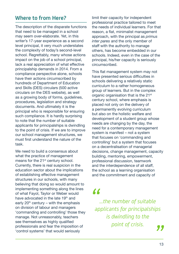### **Where to from Here?**

The description of the disparate functions that need to be managed in a school may seem over-elaborate. Yet, in this writer's 17-year experience as a second level principal, it very much understates the complexity of today's second-level school. Regrettably, many whose actions impact on the job of a school principal, lack a real appreciation of what effective principalship demands in 2014. From a compliance perspective alone, schools have their actions circumscribed by hundreds of Department of Education and Skills (DES) circulars (500 active circulars on the DES website), as well as a growing body of forms, guidelines, procedures, legislation and strategy documents. And ultimately it is the principal who is responsible for ensuring such compliance. It is hardly surprising to note that the number of suitable applicants for principalships is dwindling to the point of crisis. If we are to improve our school management structures, we must first understand the nature of the task.

We need to build a consensus about what the practice of management means for the 21<sup>st</sup> century school. Currently, there is real suspicion in the education sector about the implications of establishing effective management structures in our schools, with many believing that doing so would amount to implementing something along the lines of what Fayol, Taylor or Weber would have advocated in the late 19<sup>th</sup> and early  $20<sup>th</sup>$  century – with the emphasis on division of labour and managers 'commanding and controlling' those they manage. Not unreasonably, teachers see themselves as highly qualified professionals and fear the imposition of 'control systems' that would seriously

limit their capacity for independent professional practice tailored to meet the needs of individual learners. For that reason, a flat, minimalist management approach, with the principal as *primus inter pares* and the only member of staff with the authority to manage others, has become embedded in our schools. Indeed, even in the case of the principal, his/her capacity is seriously circumscribed.

This flat management system may not have presented serious difficulties in schools delivering a relatively static curriculum to a rather homogeneous group of learners. But in the complex organic organisation that is the 21<sup>st</sup> century school, where emphasis is placed not only on the delivery of a permanently evolving curriculum but also on the holistic welfare and development of a student group whose needs are changing by the day, the need for a contemporary management system is manifest – not a system that focuses on 'commanding and controlling' but a system that focuses on a decentralisation of managerial decisions, change management, capacity building, mentoring, empowerment, professional discussion, teamwork and the interdependence of all staff, the school as a learning organisation and the commitment and capacity of

# *"*

*...the number of suitable applicants for principalships is dwindling to the point of crisis.* 

 $\frac{99}{13}$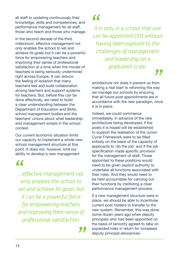all staff to updating continuously their knowledge, skills and competences; and performance management for all staff, those who teach and those who manage.

In the second decade of the third millennium, effective management not only enables the school to set and achieve its goals but it can be a powerful force for empowering teachers and improving their sense of professional satisfaction at a time when the morale of teachers is being seriously undermined right across Europe. It can reduce the feeling of isolation that many teachers feel and build collaboration among teachers and support systems for teachers. But, before this can be done effectively, we need to build a clear understanding between the Department of Education and Skills, school management bodies and the teachers' unions about what leadership and management entails in the school context.

Our current economic situation limits our capacity to implement a whole new school management structure at this point. It does not, however, limit our ability to develop a new management

## *"*

*...effective management not only enables the school to set and achieve its goals but it can be a powerful force for empowering teachers and improving their sense of professional satisfaction.*

*"* 

*"*

*It is only in a school that one can be appointed CEO without having been exposed to the challenges of management and leadership on a graduated scale.*

architecture nor does it prevent us from making a real start to reforming the way we manage our schools by ensuring that all future post appointments are in accordance with the new paradigm, once it is in place. **99**<br>rom<br>way

Indeed, we could commence immediately, in advance of the new architecture being developed, if the posts it is hoped will be established to support the realisation of the Junior Cycle Framework were to be filled entirely on the basis of the capacity of applicants to 'do the job' and if the job specification made specific provision for the management of staff. Those appointed to these positions would need to be given explicit authority to undertake all functions associated with their roles. And they would need to be held accountable for carrying out their functions by instituting a clear performance management process.

If a new management structure were in place, we should be able to incentivise current post holders to transfer to the new system. Remember, this was done some dozen years ago when deputy principals who had been appointed on the basis of seniority agreed to take on expanded roles in return for increased deputy principal allowances.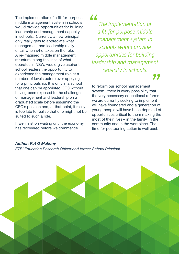The implementation of a fit-for-purpose middle management system in schools would provide opportunities for building leadership and management capacity in schools. Currently, a new principal only really gets to appreciate what management and leadership really entail when s/he takes on the role. A re-imagined middle management structure, along the lines of what operates in NSW, would give aspirant school leaders the opportunity to experience the management role at a number of levels before ever applying for a principalship. It is only in a school that one can be appointed CEO without having been exposed to the challenges of management and leadership on a graduated scale before assuming the CEO's position and, at that point, it really is too late to realise that one might not be suited to such a role.

If we insist on waiting until the economy has recovered before we commence

*"*

*The implementation of a fit-for-purpose middle management system in schools would provide opportunities for building leadership and management capacity in schools. "* 

to reform our school management system, there is every possibility that the very necessary educational reforms we are currently seeking to implement will have floundered and a generation of young people will have been deprived of opportunities critical to them making the most of their lives – in the family, in the community and in the workplace. The time for postponing action is well past.

#### *Author: Pat O'Mahony*

*ETBI Education Research Officer and former School Principal*